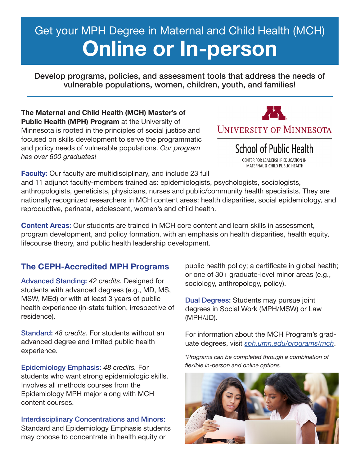# Get your MPH Degree in Maternal and Child Health (MCH) **Online or In-person**

Develop programs, policies, and assessment tools that address the needs of vulnerable populations, women, children, youth, and families!

**The Maternal and Child Health (MCH) Master's of Public Health (MPH) Program** at the University of Minnesota is rooted in the principles of social justice and focused on skills development to serve the programmatic and policy needs of vulnerable populations. *Our program has over 600 graduates!*



**School of Public Health** 

CENTER FOR LEADERSHIP EDUCATION IN MATERNAL & CHILD PUBLIC HEALTH

**Faculty:** Our faculty are multidisciplinary, and include 23 full

and 11 adjunct faculty-members trained as: epidemiologists, psychologists, sociologists, anthropologists, geneticists, physicians, nurses and public/community health specialists. They are nationally recognized researchers in MCH content areas: health disparities, social epidemiology, and reproductive, perinatal, adolescent, women's and child health.

**Content Areas:** Our students are trained in MCH core content and learn skills in assessment, program development, and policy formation, with an emphasis on health disparities, health equity, lifecourse theory, and public health leadership development.

## **The CEPH-Accredited MPH Programs**

Advanced Standing: *42 credits.* Designed for students with advanced degrees (e.g., MD, MS, MSW, MEd) or with at least 3 years of public health experience (in-state tuition, irrespective of residence).

Standard: *48 credits.* For students without an advanced degree and limited public health experience.

Epidemiology Emphasis: *48 credits.* For students who want strong epidemiologic skills. Involves all methods courses from the Epidemiology MPH major along with MCH content courses.

Interdisciplinary Concentrations and Minors: Standard and Epidemiology Emphasis students may choose to concentrate in health equity or

public health policy; a certificate in global health; or one of 30+ graduate-level minor areas (e.g., sociology, anthropology, policy).

Dual Degrees: Students may pursue joint degrees in Social Work (MPH/MSW) or Law (MPH/JD).

For information about the MCH Program's graduate degrees, visit *sph.umn.edu/programs/mch*.

*\*Programs can be completed through a combination of flexible in-person and online options.*